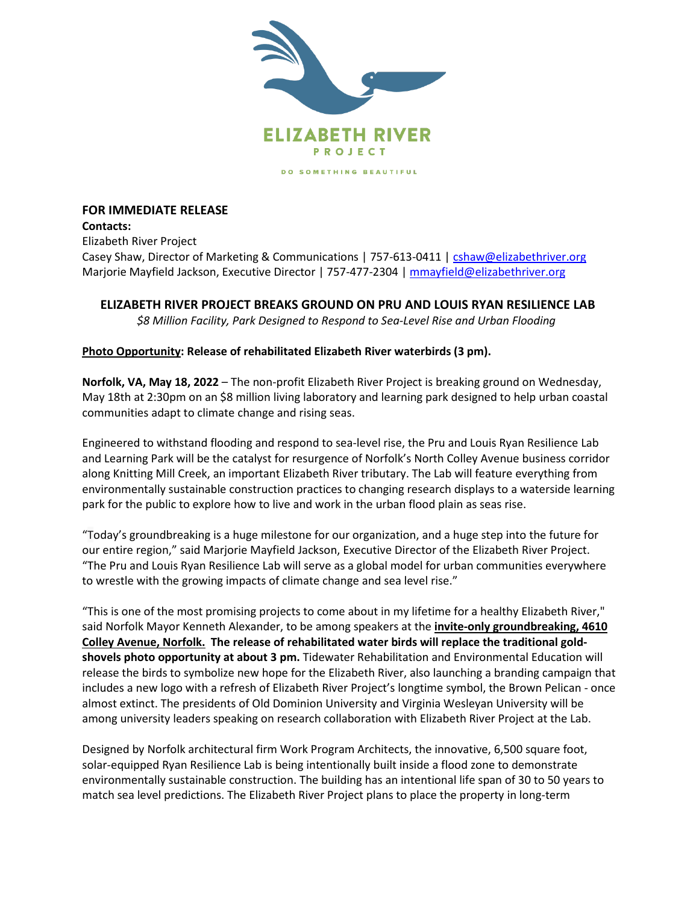

## **FOR IMMEDIATE RELEASE Contacts:**

Elizabeth River Project Casey Shaw, Director of Marketing & Communications | 757-613-0411 | [cshaw@elizabethriver.org](mailto:cshaw@elizabethriver.org) Marjorie Mayfield Jackson, Executive Director | 757-477-2304 | [mmayfield@elizabethriver.org](mailto:mmayfield@elizabethriver.org)

## **ELIZABETH RIVER PROJECT BREAKS GROUND ON PRU AND LOUIS RYAN RESILIENCE LAB**

*\$8 Million Facility, Park Designed to Respond to Sea-Level Rise and Urban Flooding*

## **Photo Opportunity: Release of rehabilitated Elizabeth River waterbirds (3 pm).**

**Norfolk, VA, May 18, 2022** – The non-profit Elizabeth River Project is breaking ground on Wednesday, May 18th at 2:30pm on an \$8 million living laboratory and learning park designed to help urban coastal communities adapt to climate change and rising seas.

Engineered to withstand flooding and respond to sea-level rise, the Pru and Louis Ryan Resilience Lab and Learning Park will be the catalyst for resurgence of Norfolk's North Colley Avenue business corridor along Knitting Mill Creek, an important Elizabeth River tributary. The Lab will feature everything from environmentally sustainable construction practices to changing research displays to a waterside learning park for the public to explore how to live and work in the urban flood plain as seas rise.

"Today's groundbreaking is a huge milestone for our organization, and a huge step into the future for our entire region," said Marjorie Mayfield Jackson, Executive Director of the Elizabeth River Project. "The Pru and Louis Ryan Resilience Lab will serve as a global model for urban communities everywhere to wrestle with the growing impacts of climate change and sea level rise."

"This is one of the most promising projects to come about in my lifetime for a healthy Elizabeth River," said Norfolk Mayor Kenneth Alexander, to be among speakers at the **invite-only groundbreaking, 4610 Colley Avenue, Norfolk. The release of rehabilitated water birds will replace the traditional goldshovels photo opportunity at about 3 pm.** Tidewater Rehabilitation and Environmental Education will release the birds to symbolize new hope for the Elizabeth River, also launching a branding campaign that includes a new logo with a refresh of Elizabeth River Project's longtime symbol, the Brown Pelican - once almost extinct. The presidents of Old Dominion University and Virginia Wesleyan University will be among university leaders speaking on research collaboration with Elizabeth River Project at the Lab.

Designed by Norfolk architectural firm Work Program Architects, the innovative, 6,500 square foot, solar-equipped Ryan Resilience Lab is being intentionally built inside a flood zone to demonstrate environmentally sustainable construction. The building has an intentional life span of 30 to 50 years to match sea level predictions. The Elizabeth River Project plans to place the property in long-term